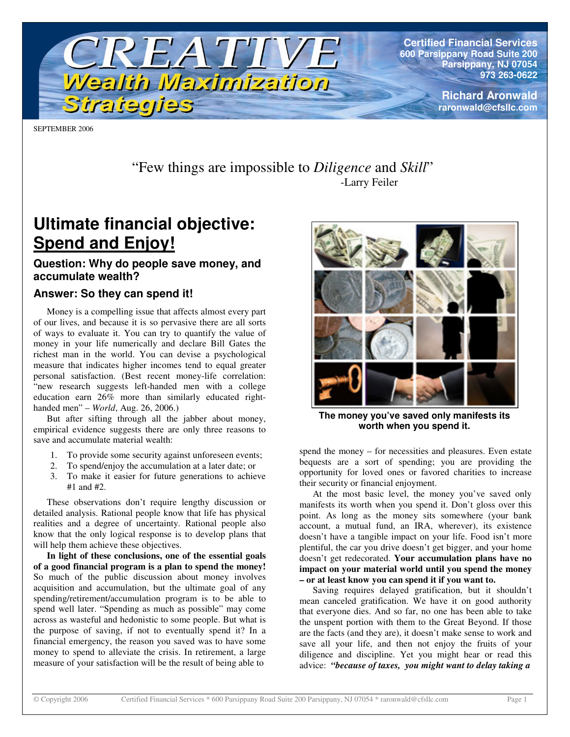

**Certified Financial Services 600 Parsippany Road Suite 200 Parsippany, NJ 07054 973 263-0622**

> **Richard Aronwald raronwald@cfsllc.com**

SEPTEMBER 2006

"Few things are impossible to *Diligence* and *Skill*" -Larry Feiler

# **Ultimate financial objective: Spend and Enjoy!**

# **Question: Why do people save money, and accumulate wealth?**

# **Answer: So they can spend it!**

Money is a compelling issue that affects almost every part of our lives, and because it is so pervasive there are all sorts of ways to evaluate it. You can try to quantify the value of money in your life numerically and declare Bill Gates the richest man in the world. You can devise a psychological measure that indicates higher incomes tend to equal greater personal satisfaction. (Best recent money-life correlation: "new research suggests left-handed men with a college education earn 26% more than similarly educated righthanded men" – *World*, Aug. 26, 2006.)

But after sifting through all the jabber about money, empirical evidence suggests there are only three reasons to save and accumulate material wealth:

- 1. To provide some security against unforeseen events;
- 2. To spend/enjoy the accumulation at a later date; or
- 3. To make it easier for future generations to achieve #1 and #2.

These observations don't require lengthy discussion or detailed analysis. Rational people know that life has physical realities and a degree of uncertainty. Rational people also know that the only logical response is to develop plans that will help them achieve these objectives.

**In light of these conclusions, one of the essential goals of a good financial program is a plan to spend the money!** So much of the public discussion about money involves acquisition and accumulation, but the ultimate goal of any spending/retirement/accumulation program is to be able to spend well later. "Spending as much as possible" may come across as wasteful and hedonistic to some people. But what is the purpose of saving, if not to eventually spend it? In a financial emergency, the reason you saved was to have some money to spend to alleviate the crisis. In retirement, a large measure of your satisfaction will be the result of being able to



**The money you've saved only manifests its worth when you spend it.**

spend the money – for necessities and pleasures. Even estate bequests are a sort of spending; you are providing the opportunity for loved ones or favored charities to increase their security or financial enjoyment.

At the most basic level, the money you've saved only manifests its worth when you spend it. Don't gloss over this point. As long as the money sits somewhere (your bank account, a mutual fund, an IRA, wherever), its existence doesn't have a tangible impact on your life. Food isn't more plentiful, the car you drive doesn't get bigger, and your home doesn't get redecorated. **Your accumulation plans have no impact on your material world until you spend the money – or at least know you can spend it if you want to.**

Saving requires delayed gratification, but it shouldn't mean canceled gratification. We have it on good authority that everyone dies. And so far, no one has been able to take the unspent portion with them to the Great Beyond. If those are the facts (and they are), it doesn't make sense to work and save all your life, and then not enjoy the fruits of your diligence and discipline. Yet you might hear or read this advice: *"because of taxes, you might want to delay taking a*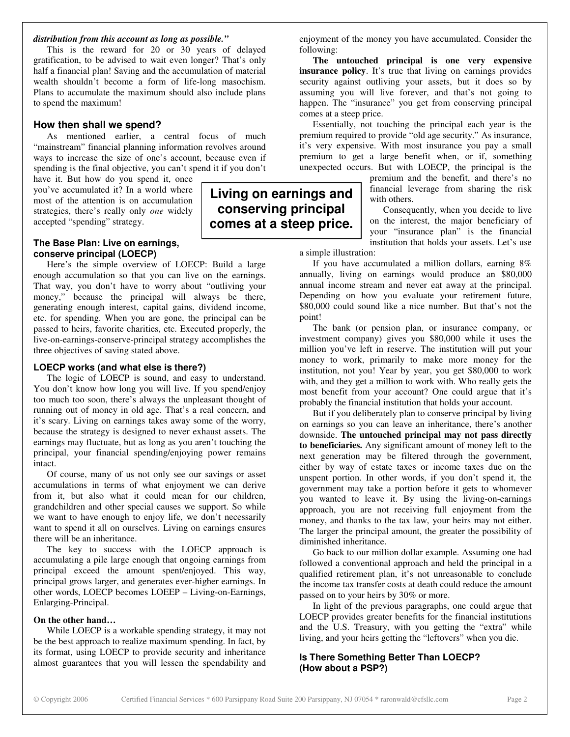#### *distribution from this account as long as possible."*

This is the reward for 20 or 30 years of delayed gratification, to be advised to wait even longer? That's only half a financial plan! Saving and the accumulation of material wealth shouldn't become a form of life-long masochism. Plans to accumulate the maximum should also include plans to spend the maximum!

#### **How then shall we spend?**

As mentioned earlier, a central focus of much "mainstream" financial planning information revolves around ways to increase the size of one's account, because even if spending is the final objective, you can't spend it if you don't

have it. But how do you spend it, once you've accumulated it? In a world where most of the attention is on accumulation strategies, there's really only *one* widely accepted "spending" strategy.

#### **The Base Plan: Live on earnings, conserve principal (LOECP)**

Here's the simple overview of LOECP: Build a large enough accumulation so that you can live on the earnings. That way, you don't have to worry about "outliving your money," because the principal will always be there, generating enough interest, capital gains, dividend income, etc. for spending. When you are gone, the principal can be passed to heirs, favorite charities, etc. Executed properly, the live-on-earnings-conserve-principal strategy accomplishes the three objectives of saving stated above.

#### **LOECP works (and what else is there?)**

The logic of LOECP is sound, and easy to understand. You don't know how long you will live. If you spend/enjoy too much too soon, there's always the unpleasant thought of running out of money in old age. That's a real concern, and it's scary. Living on earnings takes away some of the worry, because the strategy is designed to never exhaust assets. The earnings may fluctuate, but as long as you aren't touching the principal, your financial spending/enjoying power remains intact.

Of course, many of us not only see our savings or asset accumulations in terms of what enjoyment we can derive from it, but also what it could mean for our children, grandchildren and other special causes we support. So while we want to have enough to enjoy life, we don't necessarily want to spend it all on ourselves. Living on earnings ensures there will be an inheritance.

The key to success with the LOECP approach is accumulating a pile large enough that ongoing earnings from principal exceed the amount spent/enjoyed. This way, principal grows larger, and generates ever-higher earnings. In other words, LOECP becomes LOEEP – Living-on-Earnings, Enlarging-Principal.

#### **On the other hand…**

While LOECP is a workable spending strategy, it may not be the best approach to realize maximum spending. In fact, by its format, using LOECP to provide security and inheritance almost guarantees that you will lessen the spendability and enjoyment of the money you have accumulated. Consider the following:

**The untouched principal is one very expensive insurance policy**. It's true that living on earnings provides security against outliving your assets, but it does so by assuming you will live forever, and that's not going to happen. The "insurance" you get from conserving principal comes at a steep price.

Essentially, not touching the principal each year is the premium required to provide "old age security." As insurance, it's very expensive. With most insurance you pay a small premium to get a large benefit when, or if, something unexpected occurs. But with LOECP, the principal is the

> premium and the benefit, and there's no financial leverage from sharing the risk with others.

> Consequently, when you decide to live on the interest, the major beneficiary of your "insurance plan" is the financial institution that holds your assets. Let's use

a simple illustration:

**Living on earnings and conserving principal comes at a steep price.**

> If you have accumulated a million dollars, earning 8% annually, living on earnings would produce an \$80,000 annual income stream and never eat away at the principal. Depending on how you evaluate your retirement future, \$80,000 could sound like a nice number. But that's not the point!

> The bank (or pension plan, or insurance company, or investment company) gives you \$80,000 while it uses the million you've left in reserve. The institution will put your money to work, primarily to make more money for the institution, not you! Year by year, you get \$80,000 to work with, and they get a million to work with. Who really gets the most benefit from your account? One could argue that it's probably the financial institution that holds your account.

> But if you deliberately plan to conserve principal by living on earnings so you can leave an inheritance, there's another downside. **The untouched principal may not pass directly to beneficiaries.** Any significant amount of money left to the next generation may be filtered through the government, either by way of estate taxes or income taxes due on the unspent portion. In other words, if you don't spend it, the government may take a portion before it gets to whomever you wanted to leave it. By using the living-on-earnings approach, you are not receiving full enjoyment from the money, and thanks to the tax law, your heirs may not either. The larger the principal amount, the greater the possibility of diminished inheritance.

> Go back to our million dollar example. Assuming one had followed a conventional approach and held the principal in a qualified retirement plan, it's not unreasonable to conclude the income tax transfer costs at death could reduce the amount passed on to your heirs by 30% or more.

> In light of the previous paragraphs, one could argue that LOECP provides greater benefits for the financial institutions and the U.S. Treasury, with you getting the "extra" while living, and your heirs getting the "leftovers" when you die.

#### **Is There Something Better Than LOECP? (How about a PSP?)**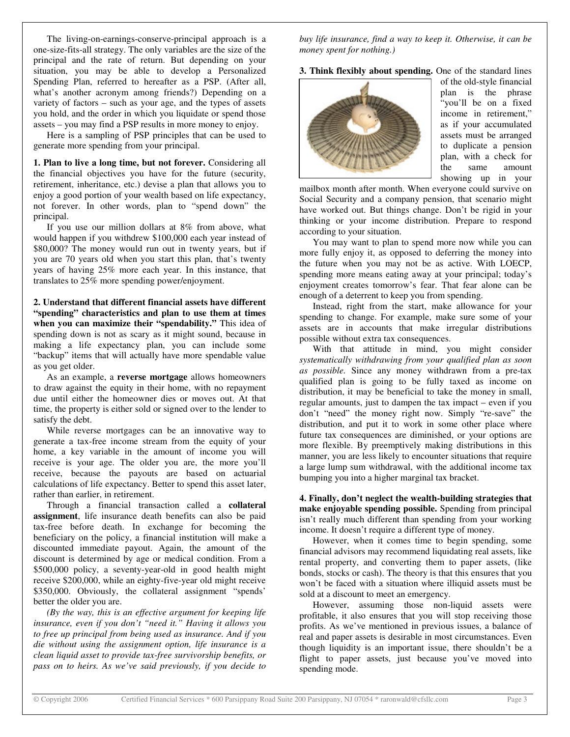The living-on-earnings-conserve-principal approach is a one-size-fits-all strategy. The only variables are the size of the principal and the rate of return. But depending on your situation, you may be able to develop a Personalized Spending Plan, referred to hereafter as a PSP. (After all, what's another acronym among friends?) Depending on a variety of factors – such as your age, and the types of assets you hold, and the order in which you liquidate or spend those assets – you may find a PSP results in more money to enjoy.

Here is a sampling of PSP principles that can be used to generate more spending from your principal.

**1. Plan to live a long time, but not forever.** Considering all the financial objectives you have for the future (security, retirement, inheritance, etc.) devise a plan that allows you to enjoy a good portion of your wealth based on life expectancy, not forever. In other words, plan to "spend down" the principal.

If you use our million dollars at 8% from above, what would happen if you withdrew \$100,000 each year instead of \$80,000? The money would run out in twenty years, but if you are 70 years old when you start this plan, that's twenty years of having 25% more each year. In this instance, that translates to 25% more spending power/enjoyment.

**2. Understand that different financial assets have different "spending" characteristics and plan to use them at times when you can maximize their "spendability."** This idea of spending down is not as scary as it might sound, because in making a life expectancy plan, you can include some "backup" items that will actually have more spendable value as you get older.

As an example, a **reverse mortgage** allows homeowners to draw against the equity in their home, with no repayment due until either the homeowner dies or moves out. At that time, the property is either sold or signed over to the lender to satisfy the debt.

While reverse mortgages can be an innovative way to generate a tax-free income stream from the equity of your home, a key variable in the amount of income you will receive is your age. The older you are, the more you'll receive, because the payouts are based on actuarial calculations of life expectancy. Better to spend this asset later, rather than earlier, in retirement.

Through a financial transaction called a **collateral assignment**, life insurance death benefits can also be paid tax-free before death. In exchange for becoming the beneficiary on the policy, a financial institution will make a discounted immediate payout. Again, the amount of the discount is determined by age or medical condition. From a \$500,000 policy, a seventy-year-old in good health might receive \$200,000, while an eighty-five-year old might receive \$350,000. Obviously, the collateral assignment "spends' better the older you are.

*(By the way, this is an effective argument for keeping life insurance, even if you don't "need it." Having it allows you to free up principal from being used as insurance. And if you die without using the assignment option, life insurance is a clean liquid asset to provide tax-free survivorship benefits, or pass on to heirs. As we've said previously, if you decide to*

*buy life insurance, find a way to keep it. Otherwise, it can be money spent for nothing.)*

**3. Think flexibly about spending.** One of the standard lines



of the old-style financial plan is the phrase "you'll be on a fixed income in retirement," as if your accumulated assets must be arranged to duplicate a pension plan, with a check for the same amount showing up in your

mailbox month after month. When everyone could survive on Social Security and a company pension, that scenario might have worked out. But things change. Don't be rigid in your thinking or your income distribution. Prepare to respond according to your situation.

You may want to plan to spend more now while you can more fully enjoy it, as opposed to deferring the money into the future when you may not be as active. With LOECP, spending more means eating away at your principal; today's enjoyment creates tomorrow's fear. That fear alone can be enough of a deterrent to keep you from spending.

Instead, right from the start, make allowance for your spending to change. For example, make sure some of your assets are in accounts that make irregular distributions possible without extra tax consequences.

With that attitude in mind, you might consider *systematically withdrawing from your qualified plan as soon as possible.* Since any money withdrawn from a pre-tax qualified plan is going to be fully taxed as income on distribution, it may be beneficial to take the money in small, regular amounts, just to dampen the tax impact – even if you don't "need" the money right now. Simply "re-save" the distribution, and put it to work in some other place where future tax consequences are diminished, or your options are more flexible. By preemptively making distributions in this manner, you are less likely to encounter situations that require a large lump sum withdrawal, with the additional income tax bumping you into a higher marginal tax bracket.

**4. Finally, don't neglect the wealth-building strategies that make enjoyable spending possible.** Spending from principal isn't really much different than spending from your working income. It doesn't require a different type of money.

However, when it comes time to begin spending, some financial advisors may recommend liquidating real assets, like rental property, and converting them to paper assets, (like bonds, stocks or cash). The theory is that this ensures that you won't be faced with a situation where illiquid assets must be sold at a discount to meet an emergency.

However, assuming those non-liquid assets were profitable, it also ensures that you will stop receiving those profits. As we've mentioned in previous issues, a balance of real and paper assets is desirable in most circumstances. Even though liquidity is an important issue, there shouldn't be a flight to paper assets, just because you've moved into spending mode.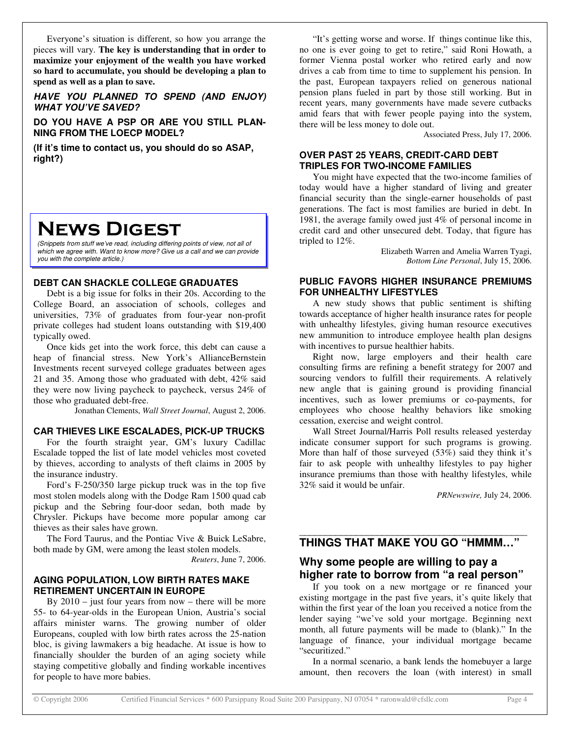Everyone's situation is different, so how you arrange the pieces will vary. **The key is understanding that in order to maximize your enjoyment of the wealth you have worked so hard to accumulate, you should be developing a plan to spend as well as a plan to save.**

*HAVE YOU PLANNED TO SPEND (AND ENJOY) WHAT YOU'VE SAVED?*

**DO YOU HAVE A PSP OR ARE YOU STILL PLAN-NING FROM THE LOECP MODEL?**

**(If it's time to contact us, you should do so ASAP, right?)**

# **NEWS DIGEST**

*(Snippets from stuff we've read, including differing points of view, not all of which we agree with. Want to know more? Give us a call and we can provide you with the complete article.)*

#### **DEBT CAN SHACKLE COLLEGE GRADUATES**

Debt is a big issue for folks in their 20s. According to the College Board, an association of schools, colleges and universities, 73% of graduates from four-year non-profit private colleges had student loans outstanding with \$19,400 typically owed.

Once kids get into the work force, this debt can cause a heap of financial stress. New York's AllianceBernstein Investments recent surveyed college graduates between ages 21 and 35. Among those who graduated with debt, 42% said they were now living paycheck to paycheck, versus 24% of those who graduated debt-free.

Jonathan Clements, *Wall Street Journal*, August 2, 2006.

#### **CAR THIEVES LIKE ESCALADES, PICK-UP TRUCKS**

For the fourth straight year, GM's luxury Cadillac Escalade topped the list of late model vehicles most coveted by thieves, according to analysts of theft claims in 2005 by the insurance industry.

Ford's F-250/350 large pickup truck was in the top five most stolen models along with the Dodge Ram 1500 quad cab pickup and the Sebring four-door sedan, both made by Chrysler. Pickups have become more popular among car thieves as their sales have grown.

The Ford Taurus, and the Pontiac Vive & Buick LeSabre, both made by GM, were among the least stolen models.

*Reuters*, June 7, 2006.

#### **AGING POPULATION, LOW BIRTH RATES MAKE RETIREMENT UNCERTAIN IN EUROPE**

By  $2010 -$  just four years from now – there will be more 55- to 64-year-olds in the European Union, Austria's social affairs minister warns. The growing number of older Europeans, coupled with low birth rates across the 25-nation bloc, is giving lawmakers a big headache. At issue is how to financially shoulder the burden of an aging society while staying competitive globally and finding workable incentives for people to have more babies.

"It's getting worse and worse. If things continue like this, no one is ever going to get to retire," said Roni Howath, a former Vienna postal worker who retired early and now drives a cab from time to time to supplement his pension. In the past, European taxpayers relied on generous national pension plans fueled in part by those still working. But in recent years, many governments have made severe cutbacks amid fears that with fewer people paying into the system, there will be less money to dole out.

Associated Press, July 17, 2006.

#### **OVER PAST 25 YEARS, CREDIT-CARD DEBT TRIPLES FOR TWO-INCOME FAMILIES**

You might have expected that the two-income families of today would have a higher standard of living and greater financial security than the single-earner households of past generations. The fact is most families are buried in debt. In 1981, the average family owed just 4% of personal income in credit card and other unsecured debt. Today, that figure has tripled to 12%.

> Elizabeth Warren and Amelia Warren Tyagi, *Bottom Line Personal*, July 15, 2006.

#### **PUBLIC FAVORS HIGHER INSURANCE PREMIUMS FOR UNHEALTHY LIFESTYLES**

A new study shows that public sentiment is shifting towards acceptance of higher health insurance rates for people with unhealthy lifestyles, giving human resource executives new ammunition to introduce employee health plan designs with incentives to pursue healthier habits.

Right now, large employers and their health care consulting firms are refining a benefit strategy for 2007 and sourcing vendors to fulfill their requirements. A relatively new angle that is gaining ground is providing financial incentives, such as lower premiums or co-payments, for employees who choose healthy behaviors like smoking cessation, exercise and weight control.

Wall Street Journal/Harris Poll results released yesterday indicate consumer support for such programs is growing. More than half of those surveyed (53%) said they think it's fair to ask people with unhealthy lifestyles to pay higher insurance premiums than those with healthy lifestyles, while 32% said it would be unfair.

*PRNewswire,* July 24, 2006.

#### \_\_\_\_\_\_\_\_\_\_\_\_\_\_\_\_\_\_\_\_\_\_\_\_\_\_\_\_\_\_\_\_\_\_\_\_\_\_\_\_\_\_\_\_ **THINGS THAT MAKE YOU GO "HMMM…"**

## **Why some people are willing to pay a higher rate to borrow from "a real person"**

If you took on a new mortgage or re financed your existing mortgage in the past five years, it's quite likely that within the first year of the loan you received a notice from the lender saying "we've sold your mortgage. Beginning next month, all future payments will be made to (blank)." In the language of finance, your individual mortgage became "securitized."

In a normal scenario, a bank lends the homebuyer a large amount, then recovers the loan (with interest) in small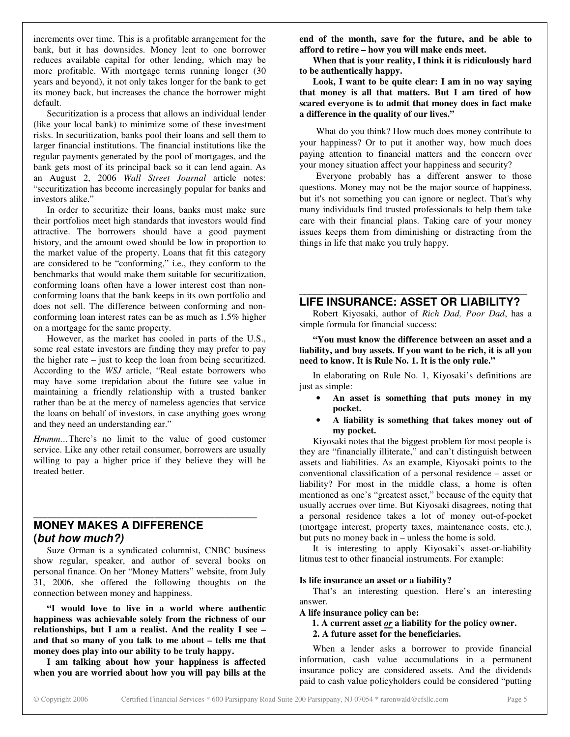increments over time. This is a profitable arrangement for the bank, but it has downsides. Money lent to one borrower reduces available capital for other lending, which may be more profitable. With mortgage terms running longer (30 years and beyond), it not only takes longer for the bank to get its money back, but increases the chance the borrower might default.

Securitization is a process that allows an individual lender (like your local bank) to minimize some of these investment risks. In securitization, banks pool their loans and sell them to larger financial institutions. The financial institutions like the regular payments generated by the pool of mortgages, and the bank gets most of its principal back so it can lend again. As an August 2, 2006 *Wall Street Journal* article notes: "securitization has become increasingly popular for banks and investors alike."

In order to securitize their loans, banks must make sure their portfolios meet high standards that investors would find attractive. The borrowers should have a good payment history, and the amount owed should be low in proportion to the market value of the property. Loans that fit this category are considered to be "conforming," i.e., they conform to the benchmarks that would make them suitable for securitization, conforming loans often have a lower interest cost than nonconforming loans that the bank keeps in its own portfolio and does not sell. The difference between conforming and nonconforming loan interest rates can be as much as 1.5% higher on a mortgage for the same property.

However, as the market has cooled in parts of the U.S., some real estate investors are finding they may prefer to pay the higher rate – just to keep the loan from being securitized. According to the *WSJ* article, "Real estate borrowers who may have some trepidation about the future see value in maintaining a friendly relationship with a trusted banker rather than be at the mercy of nameless agencies that service the loans on behalf of investors, in case anything goes wrong and they need an understanding ear."

*Hmmm…*There's no limit to the value of good customer service. Like any other retail consumer, borrowers are usually willing to pay a higher price if they believe they will be treated better.

# **MONEY MAKES A DIFFERENCE (***but how much?)*

Suze Orman is a syndicated columnist, CNBC business show regular, speaker, and author of several books on personal finance. On her "Money Matters" website, from July 31, 2006, she offered the following thoughts on the connection between money and happiness.

\_\_\_\_\_\_\_\_\_\_\_\_\_\_\_\_\_\_\_\_\_\_\_\_\_\_\_\_\_\_\_\_\_\_\_\_\_\_\_\_\_\_\_\_\_\_\_\_

**"I would love to live in a world where authentic happiness was achievable solely from the richness of our relationships, but I am a realist. And the reality I see – and that so many of you talk to me about – tells me that money does play into our ability to be truly happy.**

**I am talking about how your happiness is affected when you are worried about how you will pay bills at the** **end of the month, save for the future, and be able to afford to retire – how you will make ends meet.**

**When that is your reality, I think it is ridiculously hard to be authentically happy.**

**Look, I want to be quite clear: I am in no way saying that money is all that matters. But I am tired of how scared everyone is to admit that money does in fact make a difference in the quality of our lives."**

What do you think? How much does money contribute to your happiness? Or to put it another way, how much does paying attention to financial matters and the concern over your money situation affect your happiness and security?

Everyone probably has a different answer to those questions. Money may not be the major source of happiness, but it's not something you can ignore or neglect. That's why many individuals find trusted professionals to help them take care with their financial plans. Taking care of your money issues keeps them from diminishing or distracting from the things in life that make you truly happy.

#### \_\_\_\_\_\_\_\_\_\_\_\_\_\_\_\_\_\_\_\_\_\_\_\_\_\_\_\_\_\_\_\_\_\_\_\_\_\_\_\_\_\_\_\_ **LIFE INSURANCE: ASSET OR LIABILITY?**

Robert Kiyosaki, author of *Rich Dad, Poor Dad*, has a simple formula for financial success:

#### **"You must know the difference between an asset and a liability, and buy assets. If you want to be rich, it is all you need to know. It is Rule No. 1. It is the only rule."**

In elaborating on Rule No. 1, Kiyosaki's definitions are just as simple:

- **An asset is something that puts money in my pocket.**
- **A liability is something that takes money out of my pocket.**

Kiyosaki notes that the biggest problem for most people is they are "financially illiterate," and can't distinguish between assets and liabilities. As an example, Kiyosaki points to the conventional classification of a personal residence – asset or liability? For most in the middle class, a home is often mentioned as one's "greatest asset," because of the equity that usually accrues over time. But Kiyosaki disagrees, noting that a personal residence takes a lot of money out-of-pocket (mortgage interest, property taxes, maintenance costs, etc.), but puts no money back in – unless the home is sold.

It is interesting to apply Kiyosaki's asset-or-liability litmus test to other financial instruments. For example:

#### **Is life insurance an asset or a liability?**

That's an interesting question. Here's an interesting answer.

- **A life insurance policy can be:**
	- **1. A current asset** *or* **a liability for the policy owner.**
	- **2. A future asset for the beneficiaries.**

When a lender asks a borrower to provide financial information, cash value accumulations in a permanent insurance policy are considered assets. And the dividends paid to cash value policyholders could be considered "putting